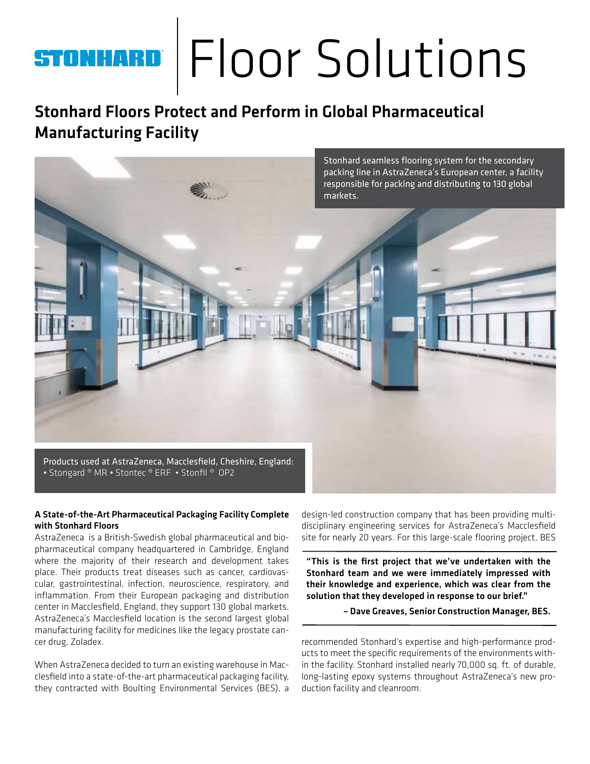# Floor Solutions NHARD<sup>:</sup>

# Stonhard Floors Protect and Perform in Global Pharmaceutical Manufacturing Facility



### A State-of-the-Art Pharmaceutical Packaging Facility Complete with Stonhard Floors

AstraZeneca is a British-Swedish global pharmaceutical and biopharmaceutical company headquartered in Cambridge, England where the majority of their research and development takes place. Their products treat diseases such as cancer, cardiovascular, gastrointestinal, infection, neuroscience, respiratory, and inflammation. From their European packaging and distribution center in Macclesfield, England, they support 130 global markets. AstraZeneca's Macclesfield location is the second largest global manufacturing facility for medicines like the legacy prostate cancer drug, Zoladex.

When AstraZeneca decided to turn an existing warehouse in Macclesfield into a state-of-the-art pharmaceutical packaging facility, they contracted with Boulting Environmental Services (BES), a

design-led construction company that has been providing multidisciplinary engineering services for AstraZeneca's Macclesfield site for nearly 20 years. For this large-scale flooring project, BES

"This is the first project that we've undertaken with the Stonhard team and we were immediately impressed with their knowledge and experience, which was clear from the solution that they developed in response to our brief."

~ Dave Greaves, Senior Construction Manager, BES.

recommended Stonhard's expertise and high-performance products to meet the specific requirements of the environments within the facility. Stonhard installed nearly 70,000 sq. ft. of durable, long-lasting epoxy systems throughout AstraZeneca's new production facility and cleanroom.